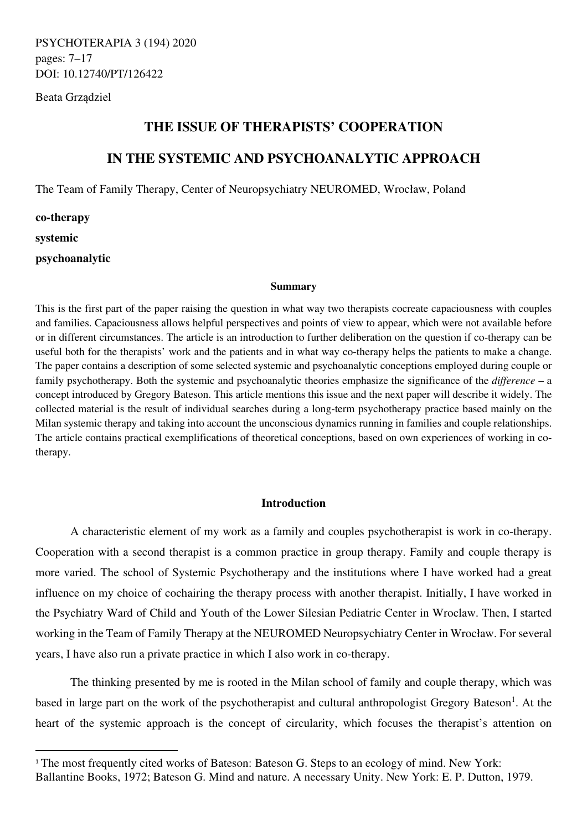PSYCHOTERAPIA 3 (194) 2020 pages: 7–17 DOI: 10.12740/PT/126422

Beata Grządziel

## **THE ISSUE OF THERAPISTS' COOPERATION**

# **IN THE SYSTEMIC AND PSYCHOANALYTIC APPROACH**

The Team of Family Therapy, Center of Neuropsychiatry NEUROMED, Wrocław, Poland

**co-therapy systemic psychoanalytic** 

#### **Summary**

This is the first part of the paper raising the question in what way two therapists cocreate capaciousness with couples and families. Capaciousness allows helpful perspectives and points of view to appear, which were not available before or in different circumstances. The article is an introduction to further deliberation on the question if co-therapy can be useful both for the therapists' work and the patients and in what way co-therapy helps the patients to make a change. The paper contains a description of some selected systemic and psychoanalytic conceptions employed during couple or family psychotherapy. Both the systemic and psychoanalytic theories emphasize the significance of the *difference* – a concept introduced by Gregory Bateson. This article mentions this issue and the next paper will describe it widely. The collected material is the result of individual searches during a long-term psychotherapy practice based mainly on the Milan systemic therapy and taking into account the unconscious dynamics running in families and couple relationships. The article contains practical exemplifications of theoretical conceptions, based on own experiences of working in cotherapy.

## **Introduction**

A characteristic element of my work as a family and couples psychotherapist is work in co-therapy. Cooperation with a second therapist is a common practice in group therapy. Family and couple therapy is more varied. The school of Systemic Psychotherapy and the institutions where I have worked had a great influence on my choice of cochairing the therapy process with another therapist. Initially, I have worked in the Psychiatry Ward of Child and Youth of the Lower Silesian Pediatric Center in Wroclaw. Then, I started working in the Team of Family Therapy at the NEUROMED Neuropsychiatry Center in Wrocław. For several years, I have also run a private practice in which I also work in co-therapy.

The thinking presented by me is rooted in the Milan school of family and couple therapy, which was based in large part on the work of the psychotherapist and cultural anthropologist Gregory Bateson<sup>1</sup>. At the heart of the systemic approach is the concept of circularity, which focuses the therapist's attention on

<sup>&</sup>lt;sup>1</sup> The most frequently cited works of Bateson: Bateson G. Steps to an ecology of mind. New York: Ballantine Books, 1972; Bateson G. Mind and nature. A necessary Unity. New York: E. P. Dutton, 1979.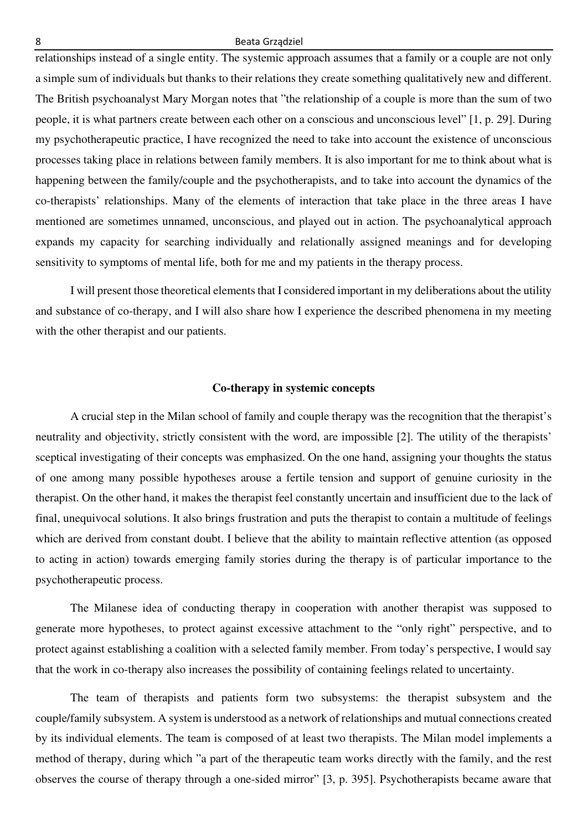relationships instead of a single entity. The systemic approach assumes that a family or a couple are not only a simple sum of individuals but thanks to their relations they create something qualitatively new and different. The British psychoanalyst Mary Morgan notes that "the relationship of a couple is more than the sum of two people, it is what partners create between each other on a conscious and unconscious level" [1, p. 29]. During my psychotherapeutic practice, I have recognized the need to take into account the existence of unconscious processes taking place in relations between family members. It is also important for me to think about what is happening between the family/couple and the psychotherapists, and to take into account the dynamics of the co-therapists' relationships. Many of the elements of interaction that take place in the three areas I have mentioned are sometimes unnamed, unconscious, and played out in action. The psychoanalytical approach expands my capacity for searching individually and relationally assigned meanings and for developing sensitivity to symptoms of mental life, both for me and my patients in the therapy process.

I will present those theoretical elements that I considered important in my deliberations about the utility and substance of co-therapy, and I will also share how I experience the described phenomena in my meeting with the other therapist and our patients.

## **Co-therapy in systemic concepts**

A crucial step in the Milan school of family and couple therapy was the recognition that the therapist's neutrality and objectivity, strictly consistent with the word, are impossible [2]. The utility of the therapists' sceptical investigating of their concepts was emphasized. On the one hand, assigning your thoughts the status of one among many possible hypotheses arouse a fertile tension and support of genuine curiosity in the therapist. On the other hand, it makes the therapist feel constantly uncertain and insufficient due to the lack of final, unequivocal solutions. It also brings frustration and puts the therapist to contain a multitude of feelings which are derived from constant doubt. I believe that the ability to maintain reflective attention (as opposed to acting in action) towards emerging family stories during the therapy is of particular importance to the psychotherapeutic process.

The Milanese idea of conducting therapy in cooperation with another therapist was supposed to generate more hypotheses, to protect against excessive attachment to the "only right" perspective, and to protect against establishing a coalition with a selected family member. From today's perspective, I would say that the work in co-therapy also increases the possibility of containing feelings related to uncertainty.

The team of therapists and patients form two subsystems: the therapist subsystem and the couple/family subsystem. A system is understood as a network of relationships and mutual connections created by its individual elements. The team is composed of at least two therapists. The Milan model implements a method of therapy, during which "a part of the therapeutic team works directly with the family, and the rest observes the course of therapy through a one-sided mirror" [3, p. 395]. Psychotherapists became aware that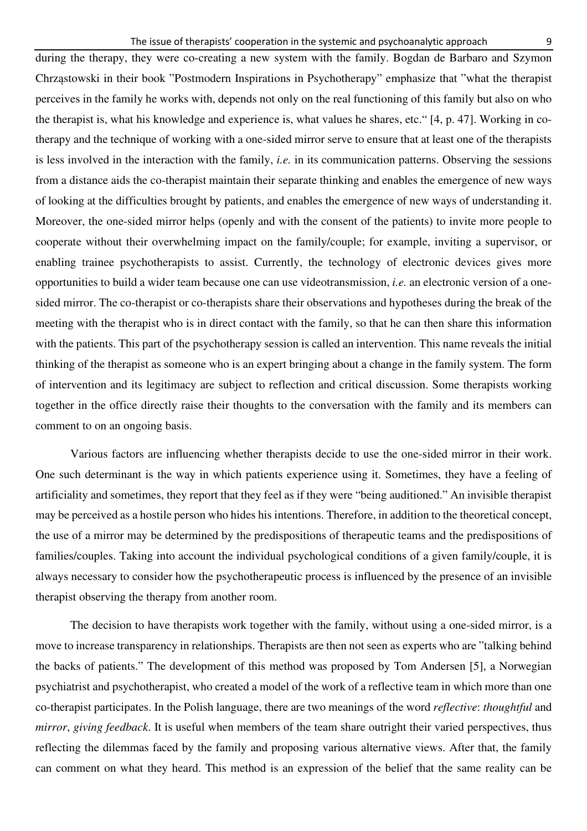during the therapy, they were co-creating a new system with the family. Bogdan de Barbaro and Szymon Chrząstowski in their book "Postmodern Inspirations in Psychotherapy" emphasize that "what the therapist perceives in the family he works with, depends not only on the real functioning of this family but also on who the therapist is, what his knowledge and experience is, what values he shares, etc." [4, p. 47]. Working in cotherapy and the technique of working with a one-sided mirror serve to ensure that at least one of the therapists is less involved in the interaction with the family, *i.e.* in its communication patterns. Observing the sessions from a distance aids the co-therapist maintain their separate thinking and enables the emergence of new ways of looking at the difficulties brought by patients, and enables the emergence of new ways of understanding it. Moreover, the one-sided mirror helps (openly and with the consent of the patients) to invite more people to cooperate without their overwhelming impact on the family/couple; for example, inviting a supervisor, or enabling trainee psychotherapists to assist. Currently, the technology of electronic devices gives more opportunities to build a wider team because one can use videotransmission, *i.e.* an electronic version of a onesided mirror. The co-therapist or co-therapists share their observations and hypotheses during the break of the meeting with the therapist who is in direct contact with the family, so that he can then share this information with the patients. This part of the psychotherapy session is called an intervention. This name reveals the initial thinking of the therapist as someone who is an expert bringing about a change in the family system. The form of intervention and its legitimacy are subject to reflection and critical discussion. Some therapists working together in the office directly raise their thoughts to the conversation with the family and its members can comment to on an ongoing basis.

Various factors are influencing whether therapists decide to use the one-sided mirror in their work. One such determinant is the way in which patients experience using it. Sometimes, they have a feeling of artificiality and sometimes, they report that they feel as if they were "being auditioned." An invisible therapist may be perceived as a hostile person who hides his intentions. Therefore, in addition to the theoretical concept, the use of a mirror may be determined by the predispositions of therapeutic teams and the predispositions of families/couples. Taking into account the individual psychological conditions of a given family/couple, it is always necessary to consider how the psychotherapeutic process is influenced by the presence of an invisible therapist observing the therapy from another room.

The decision to have therapists work together with the family, without using a one-sided mirror, is a move to increase transparency in relationships. Therapists are then not seen as experts who are "talking behind the backs of patients." The development of this method was proposed by Tom Andersen [5], a Norwegian psychiatrist and psychotherapist, who created a model of the work of a reflective team in which more than one co-therapist participates. In the Polish language, there are two meanings of the word *reflective*: *thoughtful* and *mirror*, *giving feedback*. It is useful when members of the team share outright their varied perspectives, thus reflecting the dilemmas faced by the family and proposing various alternative views. After that, the family can comment on what they heard. This method is an expression of the belief that the same reality can be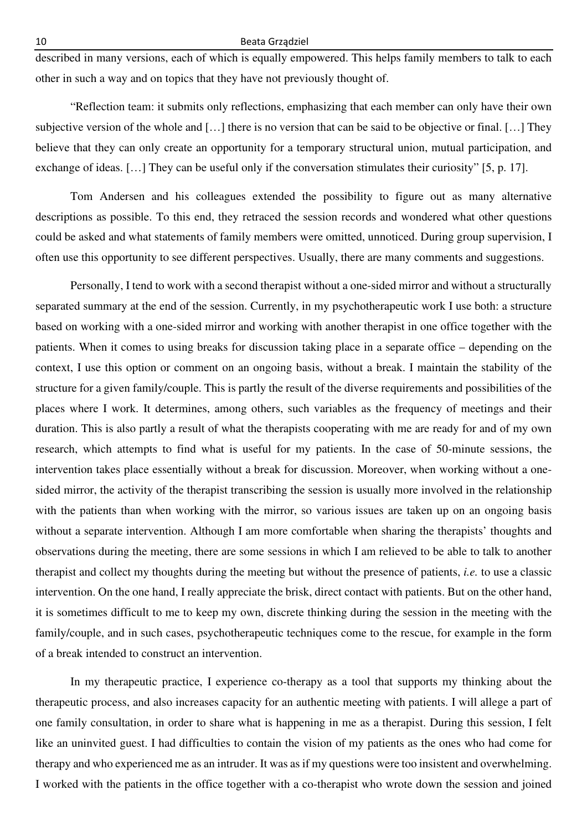described in many versions, each of which is equally empowered. This helps family members to talk to each other in such a way and on topics that they have not previously thought of.

"Reflection team: it submits only reflections, emphasizing that each member can only have their own subjective version of the whole and […] there is no version that can be said to be objective or final. […] They believe that they can only create an opportunity for a temporary structural union, mutual participation, and exchange of ideas. […] They can be useful only if the conversation stimulates their curiosity" [5, p. 17].

Tom Andersen and his colleagues extended the possibility to figure out as many alternative descriptions as possible. To this end, they retraced the session records and wondered what other questions could be asked and what statements of family members were omitted, unnoticed. During group supervision, I often use this opportunity to see different perspectives. Usually, there are many comments and suggestions.

Personally, I tend to work with a second therapist without a one-sided mirror and without a structurally separated summary at the end of the session. Currently, in my psychotherapeutic work I use both: a structure based on working with a one-sided mirror and working with another therapist in one office together with the patients. When it comes to using breaks for discussion taking place in a separate office – depending on the context, I use this option or comment on an ongoing basis, without a break. I maintain the stability of the structure for a given family/couple. This is partly the result of the diverse requirements and possibilities of the places where I work. It determines, among others, such variables as the frequency of meetings and their duration. This is also partly a result of what the therapists cooperating with me are ready for and of my own research, which attempts to find what is useful for my patients. In the case of 50-minute sessions, the intervention takes place essentially without a break for discussion. Moreover, when working without a onesided mirror, the activity of the therapist transcribing the session is usually more involved in the relationship with the patients than when working with the mirror, so various issues are taken up on an ongoing basis without a separate intervention. Although I am more comfortable when sharing the therapists' thoughts and observations during the meeting, there are some sessions in which I am relieved to be able to talk to another therapist and collect my thoughts during the meeting but without the presence of patients, *i.e.* to use a classic intervention. On the one hand, I really appreciate the brisk, direct contact with patients. But on the other hand, it is sometimes difficult to me to keep my own, discrete thinking during the session in the meeting with the family/couple, and in such cases, psychotherapeutic techniques come to the rescue, for example in the form of a break intended to construct an intervention.

In my therapeutic practice, I experience co-therapy as a tool that supports my thinking about the therapeutic process, and also increases capacity for an authentic meeting with patients. I will allege a part of one family consultation, in order to share what is happening in me as a therapist. During this session, I felt like an uninvited guest. I had difficulties to contain the vision of my patients as the ones who had come for therapy and who experienced me as an intruder. It was as if my questions were too insistent and overwhelming. I worked with the patients in the office together with a co-therapist who wrote down the session and joined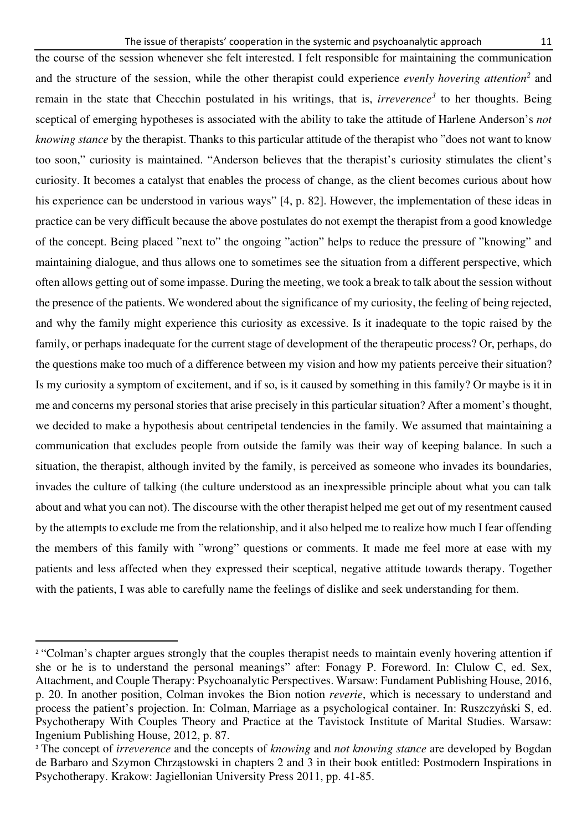the course of the session whenever she felt interested. I felt responsible for maintaining the communication and the structure of the session, while the other therapist could experience *evenly hovering attention<sup>2</sup>* and remain in the state that Checchin postulated in his writings, that is, *irreverence<sup>3</sup>* to her thoughts. Being sceptical of emerging hypotheses is associated with the ability to take the attitude of Harlene Anderson's *not knowing stance* by the therapist. Thanks to this particular attitude of the therapist who "does not want to know too soon," curiosity is maintained. "Anderson believes that the therapist's curiosity stimulates the client's curiosity. It becomes a catalyst that enables the process of change, as the client becomes curious about how his experience can be understood in various ways" [4, p. 82]. However, the implementation of these ideas in practice can be very difficult because the above postulates do not exempt the therapist from a good knowledge of the concept. Being placed "next to" the ongoing "action" helps to reduce the pressure of "knowing" and maintaining dialogue, and thus allows one to sometimes see the situation from a different perspective, which often allows getting out of some impasse. During the meeting, we took a break to talk about the session without the presence of the patients. We wondered about the significance of my curiosity, the feeling of being rejected, and why the family might experience this curiosity as excessive. Is it inadequate to the topic raised by the family, or perhaps inadequate for the current stage of development of the therapeutic process? Or, perhaps, do the questions make too much of a difference between my vision and how my patients perceive their situation? Is my curiosity a symptom of excitement, and if so, is it caused by something in this family? Or maybe is it in me and concerns my personal stories that arise precisely in this particular situation? After a moment's thought, we decided to make a hypothesis about centripetal tendencies in the family. We assumed that maintaining a communication that excludes people from outside the family was their way of keeping balance. In such a situation, the therapist, although invited by the family, is perceived as someone who invades its boundaries, invades the culture of talking (the culture understood as an inexpressible principle about what you can talk about and what you can not). The discourse with the other therapist helped me get out of my resentment caused by the attempts to exclude me from the relationship, and it also helped me to realize how much I fear offending the members of this family with "wrong" questions or comments. It made me feel more at ease with my patients and less affected when they expressed their sceptical, negative attitude towards therapy. Together with the patients, I was able to carefully name the feelings of dislike and seek understanding for them.

<sup>&</sup>lt;sup>2</sup> "Colman's chapter argues strongly that the couples therapist needs to maintain evenly hovering attention if she or he is to understand the personal meanings" after: Fonagy P. Foreword. In: Clulow C, ed. Sex, Attachment, and Couple Therapy: Psychoanalytic Perspectives. Warsaw: Fundament Publishing House, 2016, p. 20. In another position, Colman invokes the Bion notion *reverie*, which is necessary to understand and process the patient's projection. In: Colman, Marriage as a psychological container. In: Ruszczyński S, ed. Psychotherapy With Couples Theory and Practice at the Tavistock Institute of Marital Studies. Warsaw: Ingenium Publishing House, 2012, p. 87.

<sup>3</sup> The concept of *irreverence* and the concepts of *knowing* and *not knowing stance* are developed by Bogdan de Barbaro and Szymon Chrząstowski in chapters 2 and 3 in their book entitled: Postmodern Inspirations in Psychotherapy. Krakow: Jagiellonian University Press 2011, pp. 41-85.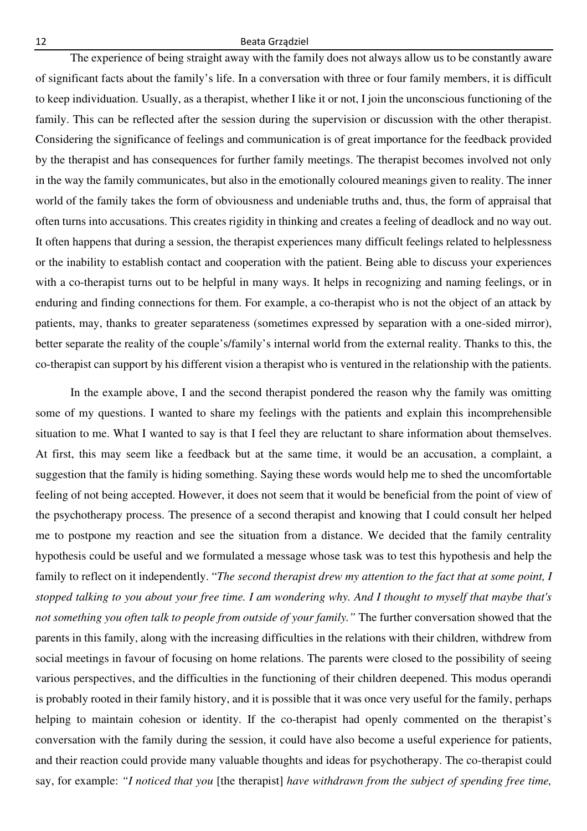The experience of being straight away with the family does not always allow us to be constantly aware of significant facts about the family's life. In a conversation with three or four family members, it is difficult to keep individuation. Usually, as a therapist, whether I like it or not, I join the unconscious functioning of the family. This can be reflected after the session during the supervision or discussion with the other therapist. Considering the significance of feelings and communication is of great importance for the feedback provided by the therapist and has consequences for further family meetings. The therapist becomes involved not only in the way the family communicates, but also in the emotionally coloured meanings given to reality. The inner world of the family takes the form of obviousness and undeniable truths and, thus, the form of appraisal that often turns into accusations. This creates rigidity in thinking and creates a feeling of deadlock and no way out. It often happens that during a session, the therapist experiences many difficult feelings related to helplessness or the inability to establish contact and cooperation with the patient. Being able to discuss your experiences with a co-therapist turns out to be helpful in many ways. It helps in recognizing and naming feelings, or in enduring and finding connections for them. For example, a co-therapist who is not the object of an attack by patients, may, thanks to greater separateness (sometimes expressed by separation with a one-sided mirror), better separate the reality of the couple's/family's internal world from the external reality. Thanks to this, the co-therapist can support by his different vision a therapist who is ventured in the relationship with the patients.

In the example above, I and the second therapist pondered the reason why the family was omitting some of my questions. I wanted to share my feelings with the patients and explain this incomprehensible situation to me. What I wanted to say is that I feel they are reluctant to share information about themselves. At first, this may seem like a feedback but at the same time, it would be an accusation, a complaint, a suggestion that the family is hiding something. Saying these words would help me to shed the uncomfortable feeling of not being accepted. However, it does not seem that it would be beneficial from the point of view of the psychotherapy process. The presence of a second therapist and knowing that I could consult her helped me to postpone my reaction and see the situation from a distance. We decided that the family centrality hypothesis could be useful and we formulated a message whose task was to test this hypothesis and help the family to reflect on it independently. "*The second therapist drew my attention to the fact that at some point, I stopped talking to you about your free time. I am wondering why. And I thought to myself that maybe that's not something you often talk to people from outside of your family."* The further conversation showed that the parents in this family, along with the increasing difficulties in the relations with their children, withdrew from social meetings in favour of focusing on home relations. The parents were closed to the possibility of seeing various perspectives, and the difficulties in the functioning of their children deepened. This modus operandi is probably rooted in their family history, and it is possible that it was once very useful for the family, perhaps helping to maintain cohesion or identity. If the co-therapist had openly commented on the therapist's conversation with the family during the session, it could have also become a useful experience for patients, and their reaction could provide many valuable thoughts and ideas for psychotherapy. The co-therapist could say, for example: *"I noticed that you* [the therapist] *have withdrawn from the subject of spending free time,*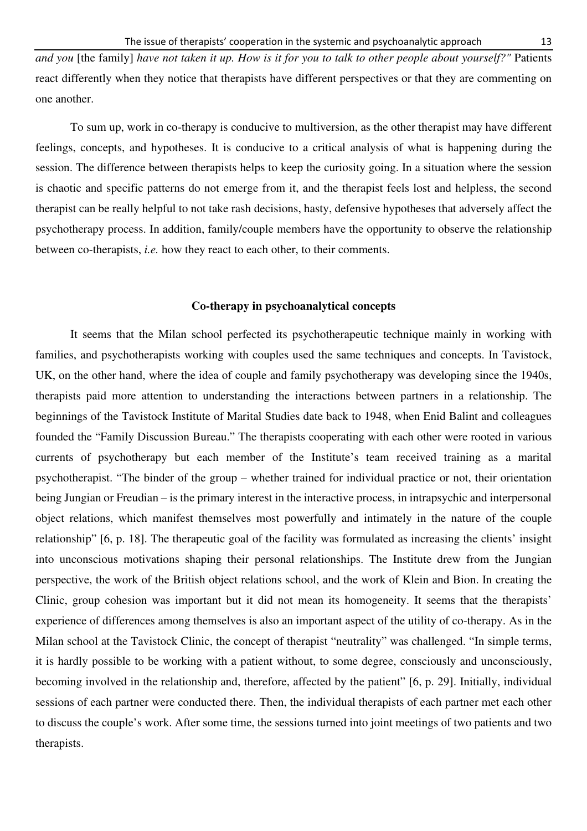*and you* [the family] *have not taken it up. How is it for you to talk to other people about yourself?"* Patients react differently when they notice that therapists have different perspectives or that they are commenting on one another.

To sum up, work in co-therapy is conducive to multiversion, as the other therapist may have different feelings, concepts, and hypotheses. It is conducive to a critical analysis of what is happening during the session. The difference between therapists helps to keep the curiosity going. In a situation where the session is chaotic and specific patterns do not emerge from it, and the therapist feels lost and helpless, the second therapist can be really helpful to not take rash decisions, hasty, defensive hypotheses that adversely affect the psychotherapy process. In addition, family/couple members have the opportunity to observe the relationship between co-therapists, *i.e.* how they react to each other, to their comments.

#### **Co-therapy in psychoanalytical concepts**

It seems that the Milan school perfected its psychotherapeutic technique mainly in working with families, and psychotherapists working with couples used the same techniques and concepts. In Tavistock, UK, on the other hand, where the idea of couple and family psychotherapy was developing since the 1940s, therapists paid more attention to understanding the interactions between partners in a relationship. The beginnings of the Tavistock Institute of Marital Studies date back to 1948, when Enid Balint and colleagues founded the "Family Discussion Bureau." The therapists cooperating with each other were rooted in various currents of psychotherapy but each member of the Institute's team received training as a marital psychotherapist. "The binder of the group – whether trained for individual practice or not, their orientation being Jungian or Freudian – is the primary interest in the interactive process, in intrapsychic and interpersonal object relations, which manifest themselves most powerfully and intimately in the nature of the couple relationship" [6, p. 18]. The therapeutic goal of the facility was formulated as increasing the clients' insight into unconscious motivations shaping their personal relationships. The Institute drew from the Jungian perspective, the work of the British object relations school, and the work of Klein and Bion. In creating the Clinic, group cohesion was important but it did not mean its homogeneity. It seems that the therapists' experience of differences among themselves is also an important aspect of the utility of co-therapy. As in the Milan school at the Tavistock Clinic, the concept of therapist "neutrality" was challenged. "In simple terms, it is hardly possible to be working with a patient without, to some degree, consciously and unconsciously, becoming involved in the relationship and, therefore, affected by the patient" [6, p. 29]. Initially, individual sessions of each partner were conducted there. Then, the individual therapists of each partner met each other to discuss the couple's work. After some time, the sessions turned into joint meetings of two patients and two therapists.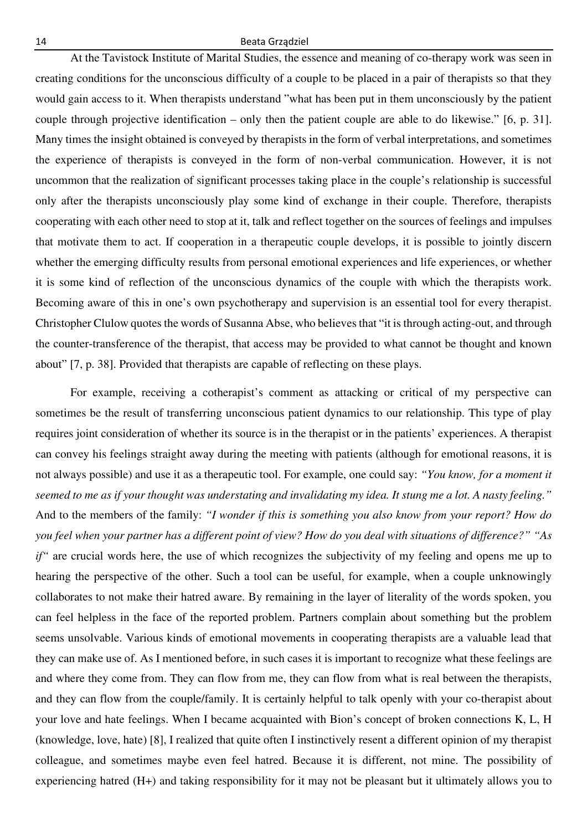At the Tavistock Institute of Marital Studies, the essence and meaning of co-therapy work was seen in creating conditions for the unconscious difficulty of a couple to be placed in a pair of therapists so that they would gain access to it. When therapists understand "what has been put in them unconsciously by the patient couple through projective identification – only then the patient couple are able to do likewise." [6, p. 31]. Many times the insight obtained is conveyed by therapists in the form of verbal interpretations, and sometimes the experience of therapists is conveyed in the form of non-verbal communication. However, it is not uncommon that the realization of significant processes taking place in the couple's relationship is successful only after the therapists unconsciously play some kind of exchange in their couple. Therefore, therapists cooperating with each other need to stop at it, talk and reflect together on the sources of feelings and impulses that motivate them to act. If cooperation in a therapeutic couple develops, it is possible to jointly discern whether the emerging difficulty results from personal emotional experiences and life experiences, or whether it is some kind of reflection of the unconscious dynamics of the couple with which the therapists work. Becoming aware of this in one's own psychotherapy and supervision is an essential tool for every therapist. Christopher Clulow quotes the words of Susanna Abse, who believes that "it is through acting-out, and through the counter-transference of the therapist, that access may be provided to what cannot be thought and known about" [7, p. 38]. Provided that therapists are capable of reflecting on these plays.

For example, receiving a cotherapist's comment as attacking or critical of my perspective can sometimes be the result of transferring unconscious patient dynamics to our relationship. This type of play requires joint consideration of whether its source is in the therapist or in the patients' experiences. A therapist can convey his feelings straight away during the meeting with patients (although for emotional reasons, it is not always possible) and use it as a therapeutic tool. For example, one could say: *"You know, for a moment it seemed to me as if your thought was understating and invalidating my idea. It stung me a lot. A nasty feeling."*  And to the members of the family: *"I wonder if this is something you also know from your report? How do you feel when your partner has a different point of view? How do you deal with situations of difference?" "As if*" are crucial words here, the use of which recognizes the subjectivity of my feeling and opens me up to hearing the perspective of the other. Such a tool can be useful, for example, when a couple unknowingly collaborates to not make their hatred aware. By remaining in the layer of literality of the words spoken, you can feel helpless in the face of the reported problem. Partners complain about something but the problem seems unsolvable. Various kinds of emotional movements in cooperating therapists are a valuable lead that they can make use of. As I mentioned before, in such cases it is important to recognize what these feelings are and where they come from. They can flow from me, they can flow from what is real between the therapists, and they can flow from the couple/family. It is certainly helpful to talk openly with your co-therapist about your love and hate feelings. When I became acquainted with Bion's concept of broken connections K, L, H (knowledge, love, hate) [8], I realized that quite often I instinctively resent a different opinion of my therapist colleague, and sometimes maybe even feel hatred. Because it is different, not mine. The possibility of experiencing hatred (H+) and taking responsibility for it may not be pleasant but it ultimately allows you to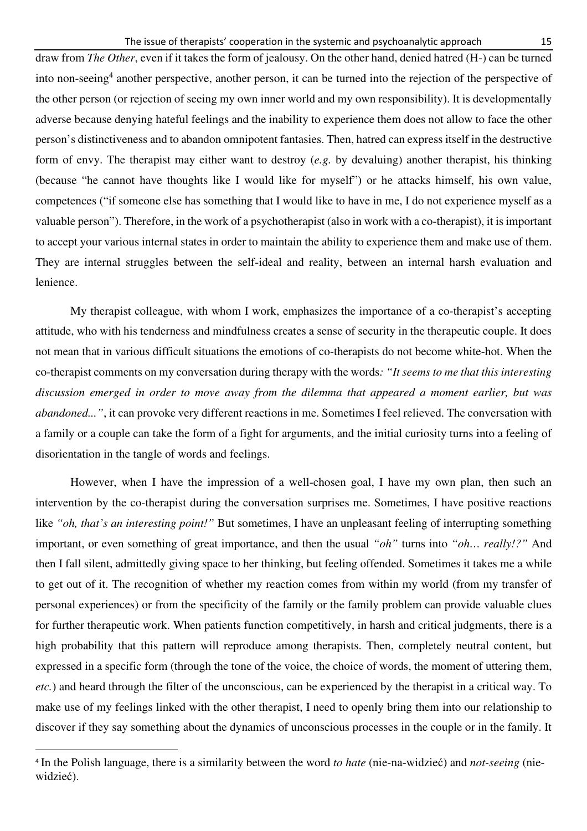draw from *The Other*, even if it takes the form of jealousy. On the other hand, denied hatred (H-) can be turned into non-seeing<sup>4</sup> another perspective, another person, it can be turned into the rejection of the perspective of the other person (or rejection of seeing my own inner world and my own responsibility). It is developmentally adverse because denying hateful feelings and the inability to experience them does not allow to face the other person's distinctiveness and to abandon omnipotent fantasies. Then, hatred can express itself in the destructive form of envy. The therapist may either want to destroy (*e.g.* by devaluing) another therapist, his thinking (because "he cannot have thoughts like I would like for myself") or he attacks himself, his own value, competences ("if someone else has something that I would like to have in me, I do not experience myself as a valuable person"). Therefore, in the work of a psychotherapist (also in work with a co-therapist), it is important to accept your various internal states in order to maintain the ability to experience them and make use of them. They are internal struggles between the self-ideal and reality, between an internal harsh evaluation and lenience.

My therapist colleague, with whom I work, emphasizes the importance of a co-therapist's accepting attitude, who with his tenderness and mindfulness creates a sense of security in the therapeutic couple. It does not mean that in various difficult situations the emotions of co-therapists do not become white-hot. When the co-therapist comments on my conversation during therapy with the words*: "It seems to me that this interesting discussion emerged in order to move away from the dilemma that appeared a moment earlier, but was abandoned..."*, it can provoke very different reactions in me. Sometimes I feel relieved. The conversation with a family or a couple can take the form of a fight for arguments, and the initial curiosity turns into a feeling of disorientation in the tangle of words and feelings.

However, when I have the impression of a well-chosen goal, I have my own plan, then such an intervention by the co-therapist during the conversation surprises me. Sometimes, I have positive reactions like *"oh, that's an interesting point!"* But sometimes, I have an unpleasant feeling of interrupting something important, or even something of great importance, and then the usual *"oh"* turns into *"oh… really!?"* And then I fall silent, admittedly giving space to her thinking, but feeling offended. Sometimes it takes me a while to get out of it. The recognition of whether my reaction comes from within my world (from my transfer of personal experiences) or from the specificity of the family or the family problem can provide valuable clues for further therapeutic work. When patients function competitively, in harsh and critical judgments, there is a high probability that this pattern will reproduce among therapists. Then, completely neutral content, but expressed in a specific form (through the tone of the voice, the choice of words, the moment of uttering them, *etc.*) and heard through the filter of the unconscious, can be experienced by the therapist in a critical way. To make use of my feelings linked with the other therapist, I need to openly bring them into our relationship to discover if they say something about the dynamics of unconscious processes in the couple or in the family. It

<sup>4</sup> In the Polish language, there is a similarity between the word *to hate* (nie-na-widzieć) and *not-seeing* (niewidzieć).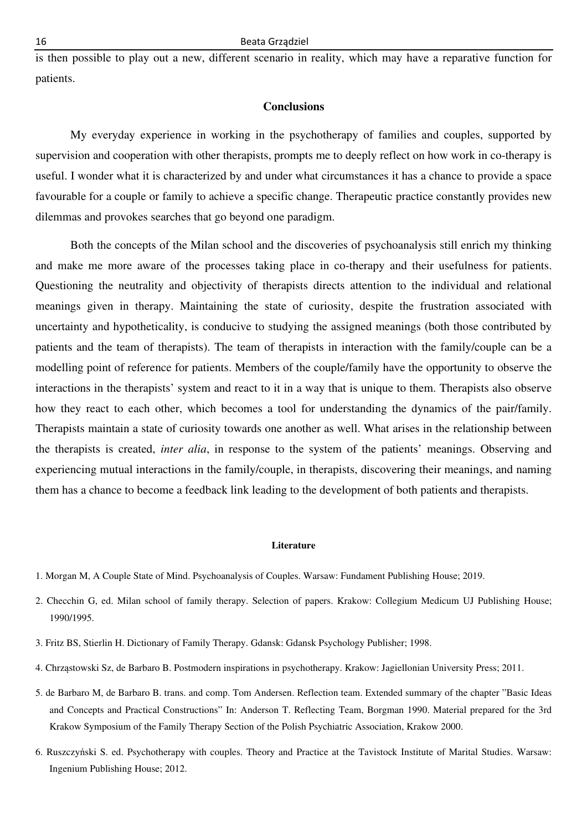is then possible to play out a new, different scenario in reality, which may have a reparative function for patients.

## **Conclusions**

My everyday experience in working in the psychotherapy of families and couples, supported by supervision and cooperation with other therapists, prompts me to deeply reflect on how work in co-therapy is useful. I wonder what it is characterized by and under what circumstances it has a chance to provide a space favourable for a couple or family to achieve a specific change. Therapeutic practice constantly provides new dilemmas and provokes searches that go beyond one paradigm.

Both the concepts of the Milan school and the discoveries of psychoanalysis still enrich my thinking and make me more aware of the processes taking place in co-therapy and their usefulness for patients. Questioning the neutrality and objectivity of therapists directs attention to the individual and relational meanings given in therapy. Maintaining the state of curiosity, despite the frustration associated with uncertainty and hypotheticality, is conducive to studying the assigned meanings (both those contributed by patients and the team of therapists). The team of therapists in interaction with the family/couple can be a modelling point of reference for patients. Members of the couple/family have the opportunity to observe the interactions in the therapists' system and react to it in a way that is unique to them. Therapists also observe how they react to each other, which becomes a tool for understanding the dynamics of the pair/family. Therapists maintain a state of curiosity towards one another as well. What arises in the relationship between the therapists is created, *inter alia*, in response to the system of the patients' meanings. Observing and experiencing mutual interactions in the family/couple, in therapists, discovering their meanings, and naming them has a chance to become a feedback link leading to the development of both patients and therapists.

#### **Literature**

- 1. Morgan M, A Couple State of Mind. Psychoanalysis of Couples. Warsaw: Fundament Publishing House; 2019.
- 2. Checchin G, ed. Milan school of family therapy. Selection of papers. Krakow: Collegium Medicum UJ Publishing House; 1990/1995.
- 3. Fritz BS, Stierlin H. Dictionary of Family Therapy. Gdansk: Gdansk Psychology Publisher; 1998.
- 4. Chrząstowski Sz, de Barbaro B. Postmodern inspirations in psychotherapy. Krakow: Jagiellonian University Press; 2011.
- 5. de Barbaro M, de Barbaro B. trans. and comp. Tom Andersen. Reflection team. Extended summary of the chapter "Basic Ideas and Concepts and Practical Constructions" In: Anderson T. Reflecting Team, Borgman 1990. Material prepared for the 3rd Krakow Symposium of the Family Therapy Section of the Polish Psychiatric Association, Krakow 2000.
- 6. Ruszczyński S. ed. Psychotherapy with couples. Theory and Practice at the Tavistock Institute of Marital Studies. Warsaw: Ingenium Publishing House; 2012.